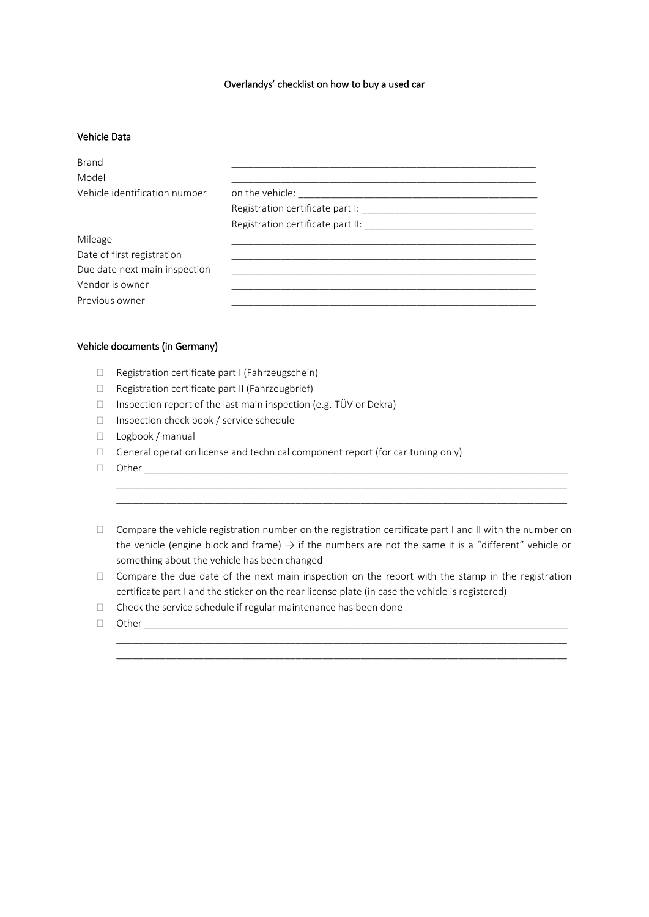### Overlandys' checklist on how to buy a used car

### Vehicle Data

| <b>Brand</b><br>Model         |  |
|-------------------------------|--|
| Vehicle identification number |  |
|                               |  |
|                               |  |
| Mileage                       |  |
| Date of first registration    |  |
| Due date next main inspection |  |
| Vendor is owner               |  |
| Previous owner                |  |

#### Vehicle documents (in Germany)

- □ Registration certificate part I (Fahrzeugschein)
- $\Box$  Registration certificate part II (Fahrzeugbrief)
- $\Box$  Inspection report of the last main inspection (e.g. TÜV or Dekra)
- □ Inspection check book / service schedule
- D Logbook / manual
- $\Box$  General operation license and technical component report (for car tuning only)
- Other \_\_\_\_\_\_\_\_\_\_\_\_\_\_\_\_\_\_\_\_\_\_\_\_\_\_\_\_\_\_\_\_\_\_\_\_\_\_\_\_\_\_\_\_\_\_\_\_\_\_\_\_\_\_\_\_\_\_\_\_\_\_\_\_\_\_\_\_\_\_\_\_\_\_\_\_\_\_
- Compare the vehicle registration number on the registration certificate part I and II with the number on the vehicle (engine block and frame)  $\rightarrow$  if the numbers are not the same it is a "different" vehicle or something about the vehicle has been changed

\_\_\_\_\_\_\_\_\_\_\_\_\_\_\_\_\_\_\_\_\_\_\_\_\_\_\_\_\_\_\_\_\_\_\_\_\_\_\_\_\_\_\_\_\_\_\_\_\_\_\_\_\_\_\_\_\_\_\_\_\_\_\_\_\_\_\_\_\_\_\_\_\_\_\_\_\_\_\_\_\_\_\_ \_\_\_\_\_\_\_\_\_\_\_\_\_\_\_\_\_\_\_\_\_\_\_\_\_\_\_\_\_\_\_\_\_\_\_\_\_\_\_\_\_\_\_\_\_\_\_\_\_\_\_\_\_\_\_\_\_\_\_\_\_\_\_\_\_\_\_\_\_\_\_\_\_\_\_\_\_\_\_\_\_\_\_

 $\Box$  Compare the due date of the next main inspection on the report with the stamp in the registration certificate part I and the sticker on the rear license plate (in case the vehicle is registered)

\_\_\_\_\_\_\_\_\_\_\_\_\_\_\_\_\_\_\_\_\_\_\_\_\_\_\_\_\_\_\_\_\_\_\_\_\_\_\_\_\_\_\_\_\_\_\_\_\_\_\_\_\_\_\_\_\_\_\_\_\_\_\_\_\_\_\_\_\_\_\_\_\_\_\_\_\_\_\_\_\_\_\_

- $\Box$  Check the service schedule if regular maintenance has been done
- $\Box$  Other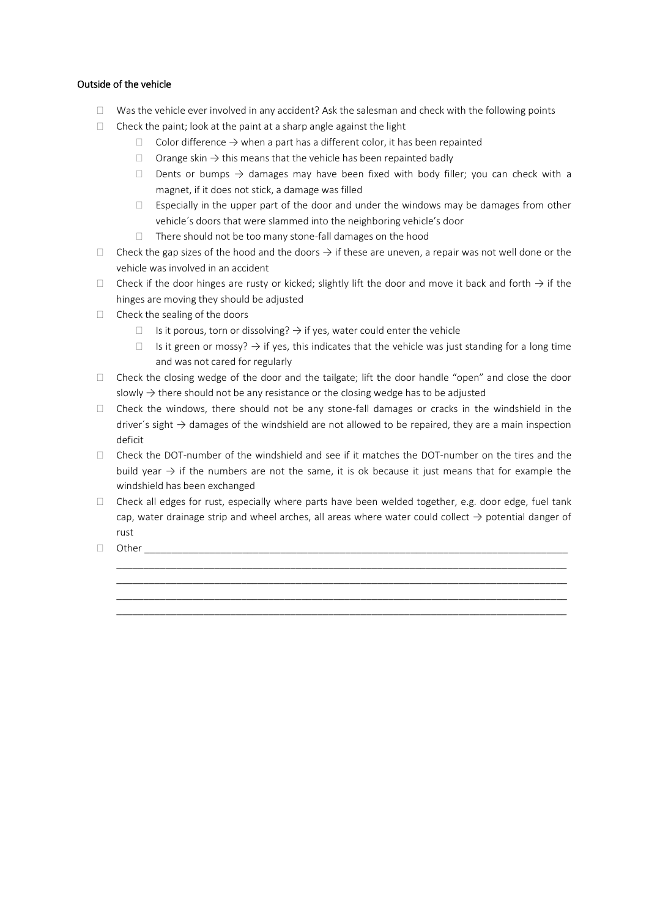# Outside of the vehicle

- $\Box$  Was the vehicle ever involved in any accident? Ask the salesman and check with the following points
- $\Box$  Check the paint; look at the paint at a sharp angle against the light
	- $\Box$  Color difference  $\rightarrow$  when a part has a different color, it has been repainted
	- □ Orange skin  $\rightarrow$  this means that the vehicle has been repainted badly
	- Dents or bumps  $\rightarrow$  damages may have been fixed with body filler; you can check with a magnet, if it does not stick, a damage was filled
	- $\Box$  Especially in the upper part of the door and under the windows may be damages from other vehicle´s doors that were slammed into the neighboring vehicle's door
	- $\Box$  There should not be too many stone-fall damages on the hood
- Check the gap sizes of the hood and the doors  $\rightarrow$  if these are uneven, a repair was not well done or the vehicle was involved in an accident
- Check if the door hinges are rusty or kicked; slightly lift the door and move it back and forth  $\rightarrow$  if the hinges are moving they should be adjusted
- $\Box$  Check the sealing of the doors
	- $□$  Is it porous, torn or dissolving?  $\rightarrow$  if yes, water could enter the vehicle
	- $□$  Is it green or mossy?  $\rightarrow$  if yes, this indicates that the vehicle was just standing for a long time and was not cared for regularly
- $\Box$  Check the closing wedge of the door and the tailgate; lift the door handle "open" and close the door slowly  $\rightarrow$  there should not be any resistance or the closing wedge has to be adjusted
- $\Box$  Check the windows, there should not be any stone-fall damages or cracks in the windshield in the driver's sight  $\rightarrow$  damages of the windshield are not allowed to be repaired, they are a main inspection deficit
- $\Box$  Check the DOT-number of the windshield and see if it matches the DOT-number on the tires and the build year  $\rightarrow$  if the numbers are not the same, it is ok because it just means that for example the windshield has been exchanged
- $\Box$  Check all edges for rust, especially where parts have been welded together, e.g. door edge, fuel tank cap, water drainage strip and wheel arches, all areas where water could collect  $\rightarrow$  potential danger of rust

\_\_\_\_\_\_\_\_\_\_\_\_\_\_\_\_\_\_\_\_\_\_\_\_\_\_\_\_\_\_\_\_\_\_\_\_\_\_\_\_\_\_\_\_\_\_\_\_\_\_\_\_\_\_\_\_\_\_\_\_\_\_\_\_\_\_\_\_\_\_\_\_\_\_\_\_\_\_\_\_\_\_\_ \_\_\_\_\_\_\_\_\_\_\_\_\_\_\_\_\_\_\_\_\_\_\_\_\_\_\_\_\_\_\_\_\_\_\_\_\_\_\_\_\_\_\_\_\_\_\_\_\_\_\_\_\_\_\_\_\_\_\_\_\_\_\_\_\_\_\_\_\_\_\_\_\_\_\_\_\_\_\_\_\_\_\_ \_\_\_\_\_\_\_\_\_\_\_\_\_\_\_\_\_\_\_\_\_\_\_\_\_\_\_\_\_\_\_\_\_\_\_\_\_\_\_\_\_\_\_\_\_\_\_\_\_\_\_\_\_\_\_\_\_\_\_\_\_\_\_\_\_\_\_\_\_\_\_\_\_\_\_\_\_\_\_\_\_\_\_ \_\_\_\_\_\_\_\_\_\_\_\_\_\_\_\_\_\_\_\_\_\_\_\_\_\_\_\_\_\_\_\_\_\_\_\_\_\_\_\_\_\_\_\_\_\_\_\_\_\_\_\_\_\_\_\_\_\_\_\_\_\_\_\_\_\_\_\_\_\_\_\_\_\_\_\_\_\_\_\_\_\_\_

 $\Box$  Other  $\_\_$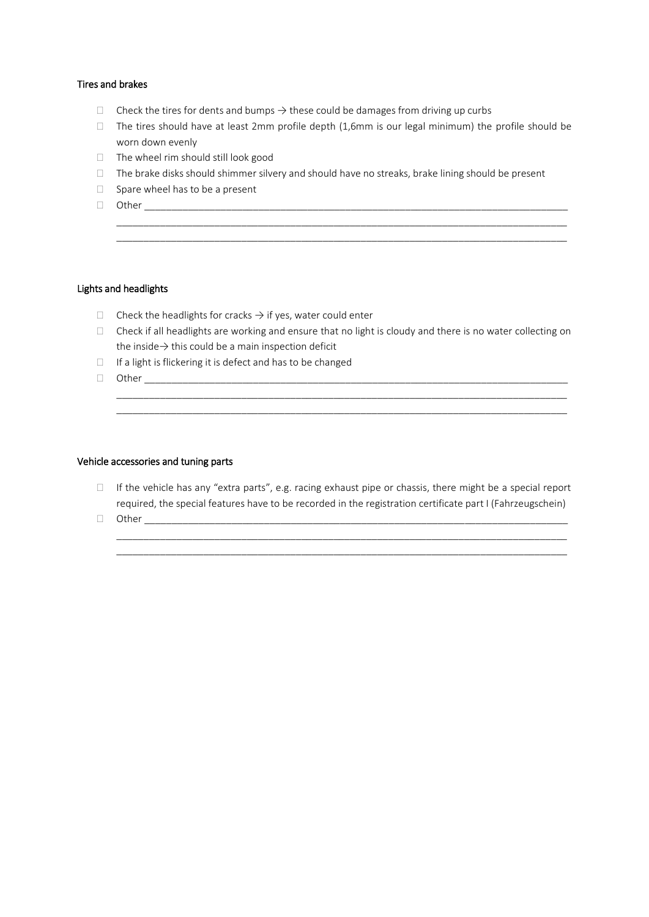### Tires and brakes

- $\Box$  Check the tires for dents and bumps  $\rightarrow$  these could be damages from driving up curbs
- $\Box$  The tires should have at least 2mm profile depth (1,6mm is our legal minimum) the profile should be worn down evenly

\_\_\_\_\_\_\_\_\_\_\_\_\_\_\_\_\_\_\_\_\_\_\_\_\_\_\_\_\_\_\_\_\_\_\_\_\_\_\_\_\_\_\_\_\_\_\_\_\_\_\_\_\_\_\_\_\_\_\_\_\_\_\_\_\_\_\_\_\_\_\_\_\_\_\_\_\_\_\_\_\_\_\_ \_\_\_\_\_\_\_\_\_\_\_\_\_\_\_\_\_\_\_\_\_\_\_\_\_\_\_\_\_\_\_\_\_\_\_\_\_\_\_\_\_\_\_\_\_\_\_\_\_\_\_\_\_\_\_\_\_\_\_\_\_\_\_\_\_\_\_\_\_\_\_\_\_\_\_\_\_\_\_\_\_\_\_

- $\Box$  The wheel rim should still look good
- $\Box$  The brake disks should shimmer silvery and should have no streaks, brake lining should be present
- $\Box$  Spare wheel has to be a present
- Other \_\_\_\_\_\_\_\_\_\_\_\_\_\_\_\_\_\_\_\_\_\_\_\_\_\_\_\_\_\_\_\_\_\_\_\_\_\_\_\_\_\_\_\_\_\_\_\_\_\_\_\_\_\_\_\_\_\_\_\_\_\_\_\_\_\_\_\_\_\_\_\_\_\_\_\_\_\_

# Lights and headlights

- $\Box$  Check the headlights for cracks  $\rightarrow$  if yes, water could enter
- □ Check if all headlights are working and ensure that no light is cloudy and there is no water collecting on the inside→ this could be a main inspection deficit

\_\_\_\_\_\_\_\_\_\_\_\_\_\_\_\_\_\_\_\_\_\_\_\_\_\_\_\_\_\_\_\_\_\_\_\_\_\_\_\_\_\_\_\_\_\_\_\_\_\_\_\_\_\_\_\_\_\_\_\_\_\_\_\_\_\_\_\_\_\_\_\_\_\_\_\_\_\_\_\_\_\_\_

- $\Box$  If a light is flickering it is defect and has to be changed
- $\Box$  Other

# Vehicle accessories and tuning parts

If the vehicle has any "extra parts", e.g. racing exhaust pipe or chassis, there might be a special report required, the special features have to be recorded in the registration certificate part I (Fahrzeugschein)

\_\_\_\_\_\_\_\_\_\_\_\_\_\_\_\_\_\_\_\_\_\_\_\_\_\_\_\_\_\_\_\_\_\_\_\_\_\_\_\_\_\_\_\_\_\_\_\_\_\_\_\_\_\_\_\_\_\_\_\_\_\_\_\_\_\_\_\_\_\_\_\_\_\_\_\_\_\_\_\_\_\_\_ \_\_\_\_\_\_\_\_\_\_\_\_\_\_\_\_\_\_\_\_\_\_\_\_\_\_\_\_\_\_\_\_\_\_\_\_\_\_\_\_\_\_\_\_\_\_\_\_\_\_\_\_\_\_\_\_\_\_\_\_\_\_\_\_\_\_\_\_\_\_\_\_\_\_\_\_\_\_\_\_\_\_\_

Other \_\_\_\_\_\_\_\_\_\_\_\_\_\_\_\_\_\_\_\_\_\_\_\_\_\_\_\_\_\_\_\_\_\_\_\_\_\_\_\_\_\_\_\_\_\_\_\_\_\_\_\_\_\_\_\_\_\_\_\_\_\_\_\_\_\_\_\_\_\_\_\_\_\_\_\_\_\_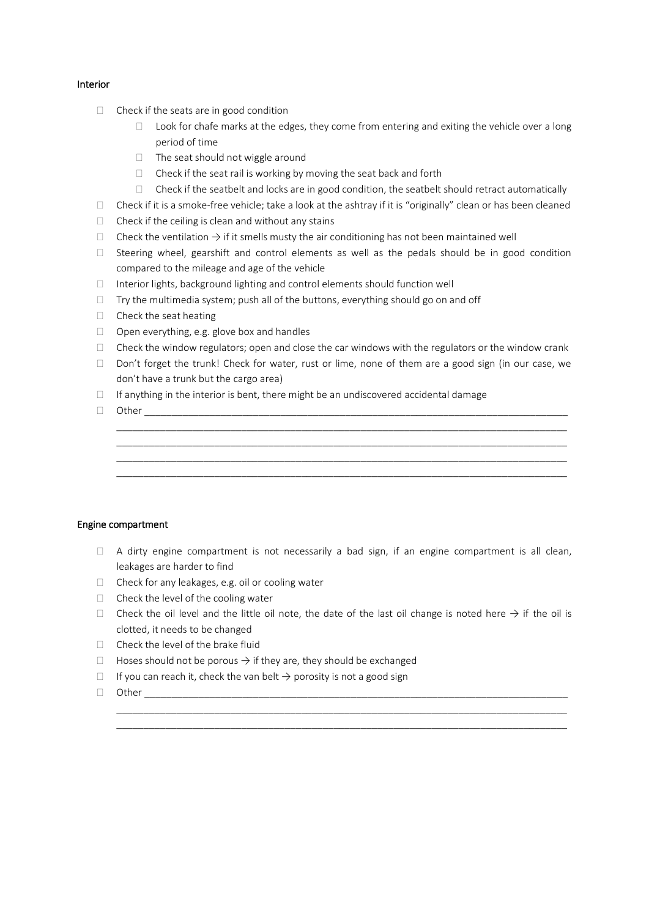### Interior

- $\Box$  Check if the seats are in good condition
	- $\Box$  Look for chafe marks at the edges, they come from entering and exiting the vehicle over a long period of time
	- $\Box$  The seat should not wiggle around
	- $\Box$  Check if the seat rail is working by moving the seat back and forth
	- $\Box$  Check if the seatbelt and locks are in good condition, the seatbelt should retract automatically
- $\Box$  Check if it is a smoke-free vehicle; take a look at the ashtray if it is "originally" clean or has been cleaned
- $\Box$  Check if the ceiling is clean and without any stains
- $\Box$  Check the ventilation  $\rightarrow$  if it smells musty the air conditioning has not been maintained well
- $\Box$  Steering wheel, gearshift and control elements as well as the pedals should be in good condition compared to the mileage and age of the vehicle
- $\Box$  Interior lights, background lighting and control elements should function well
- $\Box$  Try the multimedia system; push all of the buttons, everything should go on and off
- $\Box$  Check the seat heating
- $\Box$  Open everything, e.g. glove box and handles
- $\Box$  Check the window regulators; open and close the car windows with the regulators or the window crank
- $\Box$  Don't forget the trunk! Check for water, rust or lime, none of them are a good sign (in our case, we don't have a trunk but the cargo area)

\_\_\_\_\_\_\_\_\_\_\_\_\_\_\_\_\_\_\_\_\_\_\_\_\_\_\_\_\_\_\_\_\_\_\_\_\_\_\_\_\_\_\_\_\_\_\_\_\_\_\_\_\_\_\_\_\_\_\_\_\_\_\_\_\_\_\_\_\_\_\_\_\_\_\_\_\_\_\_\_\_\_\_ \_\_\_\_\_\_\_\_\_\_\_\_\_\_\_\_\_\_\_\_\_\_\_\_\_\_\_\_\_\_\_\_\_\_\_\_\_\_\_\_\_\_\_\_\_\_\_\_\_\_\_\_\_\_\_\_\_\_\_\_\_\_\_\_\_\_\_\_\_\_\_\_\_\_\_\_\_\_\_\_\_\_\_ \_\_\_\_\_\_\_\_\_\_\_\_\_\_\_\_\_\_\_\_\_\_\_\_\_\_\_\_\_\_\_\_\_\_\_\_\_\_\_\_\_\_\_\_\_\_\_\_\_\_\_\_\_\_\_\_\_\_\_\_\_\_\_\_\_\_\_\_\_\_\_\_\_\_\_\_\_\_\_\_\_\_\_ \_\_\_\_\_\_\_\_\_\_\_\_\_\_\_\_\_\_\_\_\_\_\_\_\_\_\_\_\_\_\_\_\_\_\_\_\_\_\_\_\_\_\_\_\_\_\_\_\_\_\_\_\_\_\_\_\_\_\_\_\_\_\_\_\_\_\_\_\_\_\_\_\_\_\_\_\_\_\_\_\_\_\_

 $\Box$  If anything in the interior is bent, there might be an undiscovered accidental damage

 $\Box$  Other

#### Engine compartment

- $\Box$  A dirty engine compartment is not necessarily a bad sign, if an engine compartment is all clean, leakages are harder to find
- $\Box$  Check for any leakages, e.g. oil or cooling water
- $\Box$  Check the level of the cooling water
- Check the oil level and the little oil note, the date of the last oil change is noted here  $\rightarrow$  if the oil is clotted, it needs to be changed

\_\_\_\_\_\_\_\_\_\_\_\_\_\_\_\_\_\_\_\_\_\_\_\_\_\_\_\_\_\_\_\_\_\_\_\_\_\_\_\_\_\_\_\_\_\_\_\_\_\_\_\_\_\_\_\_\_\_\_\_\_\_\_\_\_\_\_\_\_\_\_\_\_\_\_\_\_\_\_\_\_\_\_ \_\_\_\_\_\_\_\_\_\_\_\_\_\_\_\_\_\_\_\_\_\_\_\_\_\_\_\_\_\_\_\_\_\_\_\_\_\_\_\_\_\_\_\_\_\_\_\_\_\_\_\_\_\_\_\_\_\_\_\_\_\_\_\_\_\_\_\_\_\_\_\_\_\_\_\_\_\_\_\_\_\_\_

- $\Box$  Check the level of the brake fluid
- $□$  Hoses should not be porous  $→$  if they are, they should be exchanged
- $□$  If you can reach it, check the van belt  $→$  porosity is not a good sign
- $\Box$  Other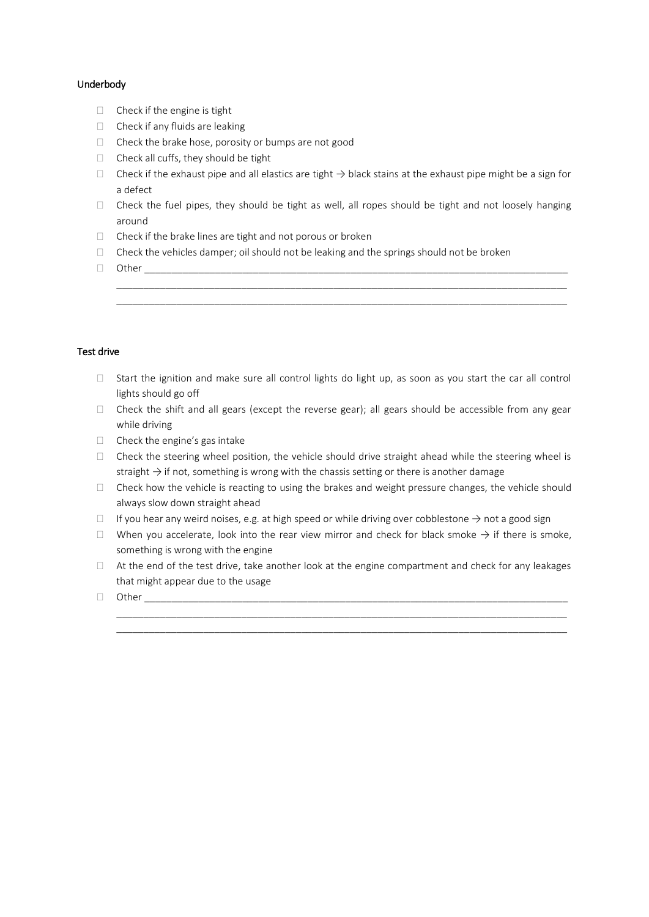# Underbody

- $\Box$  Check if the engine is tight
- $\Box$  Check if any fluids are leaking
- $\Box$  Check the brake hose, porosity or bumps are not good
- $\Box$  Check all cuffs, they should be tight
- Check if the exhaust pipe and all elastics are tight  $\rightarrow$  black stains at the exhaust pipe might be a sign for a defect
- $\Box$  Check the fuel pipes, they should be tight as well, all ropes should be tight and not loosely hanging around

\_\_\_\_\_\_\_\_\_\_\_\_\_\_\_\_\_\_\_\_\_\_\_\_\_\_\_\_\_\_\_\_\_\_\_\_\_\_\_\_\_\_\_\_\_\_\_\_\_\_\_\_\_\_\_\_\_\_\_\_\_\_\_\_\_\_\_\_\_\_\_\_\_\_\_\_\_\_\_\_\_\_\_ \_\_\_\_\_\_\_\_\_\_\_\_\_\_\_\_\_\_\_\_\_\_\_\_\_\_\_\_\_\_\_\_\_\_\_\_\_\_\_\_\_\_\_\_\_\_\_\_\_\_\_\_\_\_\_\_\_\_\_\_\_\_\_\_\_\_\_\_\_\_\_\_\_\_\_\_\_\_\_\_\_\_\_

- $\Box$  Check if the brake lines are tight and not porous or broken
- $\Box$  Check the vehicles damper; oil should not be leaking and the springs should not be broken
- $\Box$  Other

# Test drive

- $\Box$  Start the ignition and make sure all control lights do light up, as soon as you start the car all control lights should go off
- $\Box$  Check the shift and all gears (except the reverse gear); all gears should be accessible from any gear while driving
- $\Box$  Check the engine's gas intake
- $\Box$  Check the steering wheel position, the vehicle should drive straight ahead while the steering wheel is straight  $\rightarrow$  if not, something is wrong with the chassis setting or there is another damage
- $\Box$  Check how the vehicle is reacting to using the brakes and weight pressure changes, the vehicle should always slow down straight ahead
- $□$  If you hear any weird noises, e.g. at high speed or while driving over cobblestone  $→$  not a good sign
- $□$  When you accelerate, look into the rear view mirror and check for black smoke  $→$  if there is smoke, something is wrong with the engine
- $\Box$  At the end of the test drive, take another look at the engine compartment and check for any leakages that might appear due to the usage

\_\_\_\_\_\_\_\_\_\_\_\_\_\_\_\_\_\_\_\_\_\_\_\_\_\_\_\_\_\_\_\_\_\_\_\_\_\_\_\_\_\_\_\_\_\_\_\_\_\_\_\_\_\_\_\_\_\_\_\_\_\_\_\_\_\_\_\_\_\_\_\_\_\_\_\_\_\_\_\_\_\_\_ \_\_\_\_\_\_\_\_\_\_\_\_\_\_\_\_\_\_\_\_\_\_\_\_\_\_\_\_\_\_\_\_\_\_\_\_\_\_\_\_\_\_\_\_\_\_\_\_\_\_\_\_\_\_\_\_\_\_\_\_\_\_\_\_\_\_\_\_\_\_\_\_\_\_\_\_\_\_\_\_\_\_\_

 $\Box$  Other